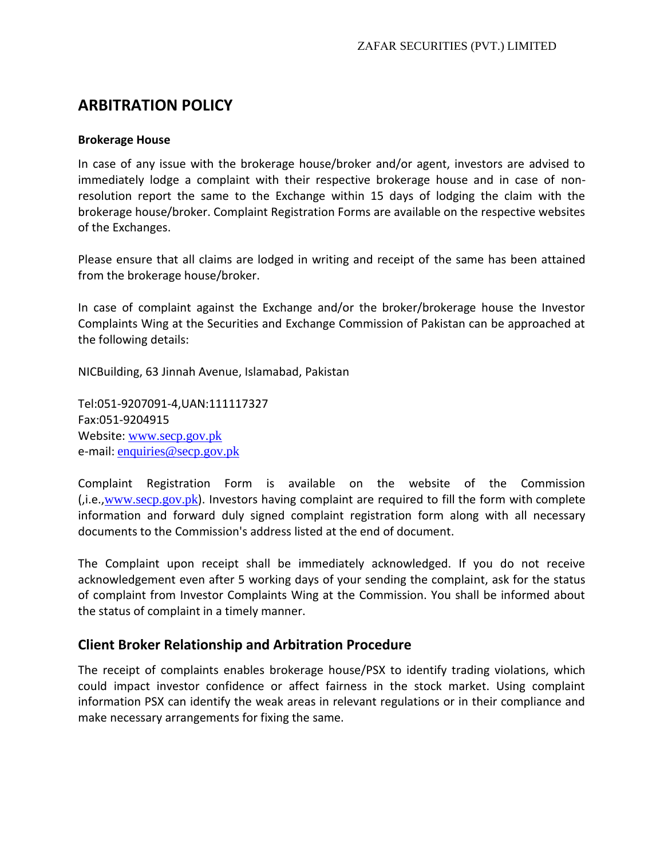# **ARBITRATION POLICY**

#### **Brokerage House**

In case of any issue with the brokerage house/broker and/or agent, investors are advised to immediately lodge a complaint with their respective brokerage house and in case of nonresolution report the same to the Exchange within 15 days of lodging the claim with the brokerage house/broker. Complaint Registration Forms are available on the respective websites of the Exchanges.

Please ensure that all claims are lodged in writing and receipt of the same has been attained from the brokerage house/broker.

In case of complaint against the Exchange and/or the broker/brokerage house the Investor Complaints Wing at the Securities and Exchange Commission of Pakistan can be approached at the following details:

NICBuilding, 63 Jinnah Avenue, Islamabad, Pakistan

Tel:051-9207091-4,UAN:111117327 Fax:051-9204915 Website: [www.secp.gov.pk](http://www.secp.gov.pk/) e-mail: [enquiries@secp.gov.pk](mailto:enquiries@secp.gov.pk)

Complaint Registration Form is available on the website of the Commission (,i.e.,[www.secp.gov.pk](http://www.secp.gov.pk/)). Investors having complaint are required to fill the form with complete information and forward duly signed complaint registration form along with all necessary documents to the Commission's address listed at the end of document.

The Complaint upon receipt shall be immediately acknowledged. If you do not receive acknowledgement even after 5 working days of your sending the complaint, ask for the status of complaint from Investor Complaints Wing at the Commission. You shall be informed about the status of complaint in a timely manner.

# **Client Broker Relationship and Arbitration Procedure**

The receipt of complaints enables brokerage house/PSX to identify trading violations, which could impact investor confidence or affect fairness in the stock market. Using complaint information PSX can identify the weak areas in relevant regulations or in their compliance and make necessary arrangements for fixing the same.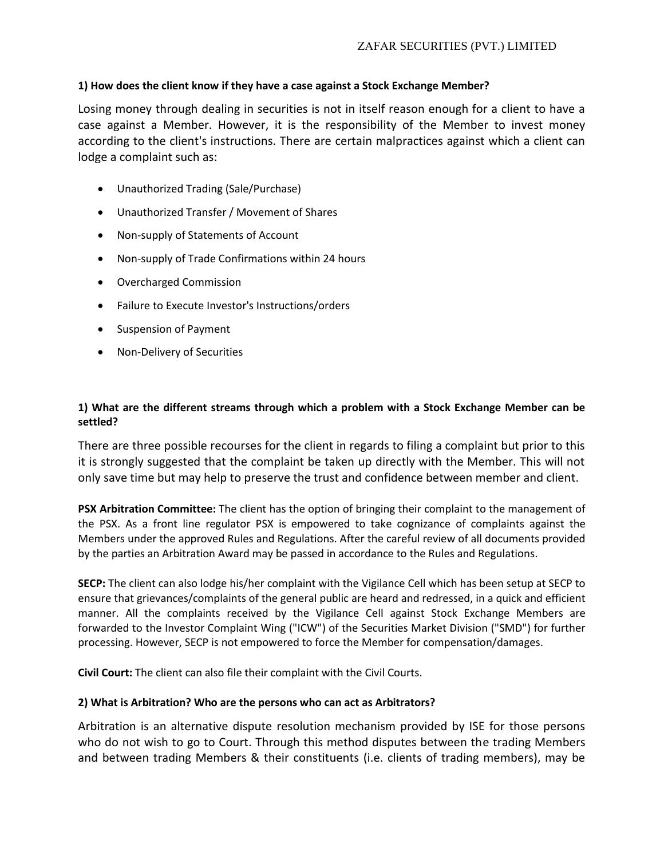#### **1) How does the client know if they have a case against a Stock Exchange Member?**

Losing money through dealing in securities is not in itself reason enough for a client to have a case against a Member. However, it is the responsibility of the Member to invest money according to the client's instructions. There are certain malpractices against which a client can lodge a complaint such as:

- Unauthorized Trading (Sale/Purchase)
- Unauthorized Transfer / Movement of Shares
- Non-supply of Statements of Account
- Non-supply of Trade Confirmations within 24 hours
- Overcharged Commission
- Failure to Execute Investor's Instructions/orders
- Suspension of Payment
- Non-Delivery of Securities

#### **1) What are the different streams through which a problem with a Stock Exchange Member can be settled?**

There are three possible recourses for the client in regards to filing a complaint but prior to this it is strongly suggested that the complaint be taken up directly with the Member. This will not only save time but may help to preserve the trust and confidence between member and client.

**PSX Arbitration Committee:** The client has the option of bringing their complaint to the management of the PSX. As a front line regulator PSX is empowered to take cognizance of complaints against the Members under the approved Rules and Regulations. After the careful review of all documents provided by the parties an Arbitration Award may be passed in accordance to the Rules and Regulations.

**SECP:** The client can also lodge his/her complaint with the Vigilance Cell which has been setup at SECP to ensure that grievances/complaints of the general public are heard and redressed, in a quick and efficient manner. All the complaints received by the Vigilance Cell against Stock Exchange Members are forwarded to the Investor Complaint Wing ("ICW") of the Securities Market Division ("SMD") for further processing. However, SECP is not empowered to force the Member for compensation/damages.

**Civil Court:** The client can also file their complaint with the Civil Courts.

#### **2) What is Arbitration? Who are the persons who can act as Arbitrators?**

Arbitration is an alternative dispute resolution mechanism provided by ISE for those persons who do not wish to go to Court. Through this method disputes between the trading Members and between trading Members & their constituents (i.e. clients of trading members), may be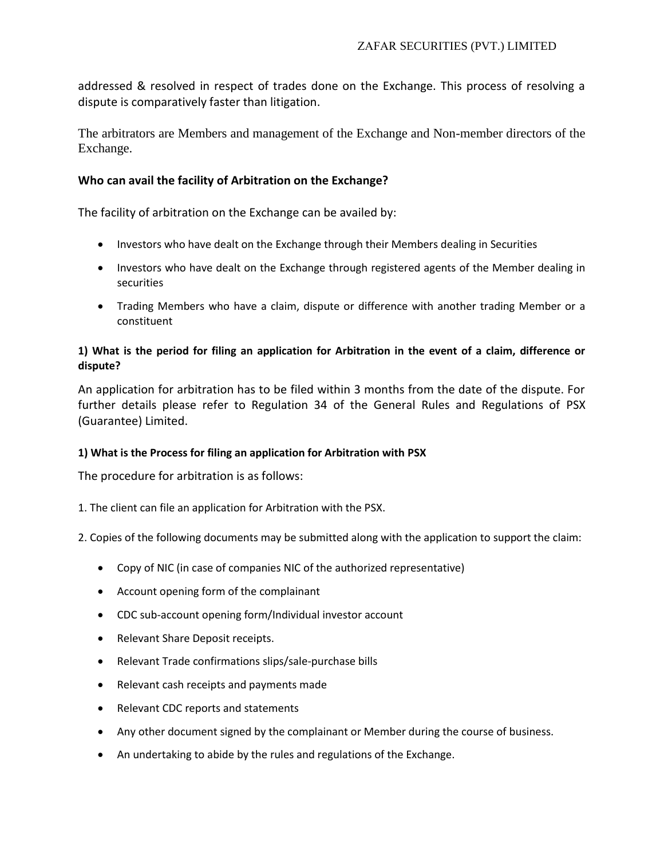addressed & resolved in respect of trades done on the Exchange. This process of resolving a dispute is comparatively faster than litigation.

The arbitrators are Members and management of the Exchange and Non-member directors of the Exchange.

## **Who can avail the facility of Arbitration on the Exchange?**

The facility of arbitration on the Exchange can be availed by:

- Investors who have dealt on the Exchange through their Members dealing in Securities
- Investors who have dealt on the Exchange through registered agents of the Member dealing in securities
- Trading Members who have a claim, dispute or difference with another trading Member or a constituent

## **1) What is the period for filing an application for Arbitration in the event of a claim, difference or dispute?**

An application for arbitration has to be filed within 3 months from the date of the dispute. For further details please refer to Regulation 34 of the General Rules and Regulations of PSX (Guarantee) Limited.

#### **1) What is the Process for filing an application for Arbitration with PSX**

The procedure for arbitration is as follows:

1. The client can file an application for Arbitration with the PSX.

2. Copies of the following documents may be submitted along with the application to support the claim:

- Copy of NIC (in case of companies NIC of the authorized representative)
- Account opening form of the complainant
- CDC sub-account opening form/Individual investor account
- Relevant Share Deposit receipts.
- Relevant Trade confirmations slips/sale-purchase bills
- Relevant cash receipts and payments made
- Relevant CDC reports and statements
- Any other document signed by the complainant or Member during the course of business.
- An undertaking to abide by the rules and regulations of the Exchange.